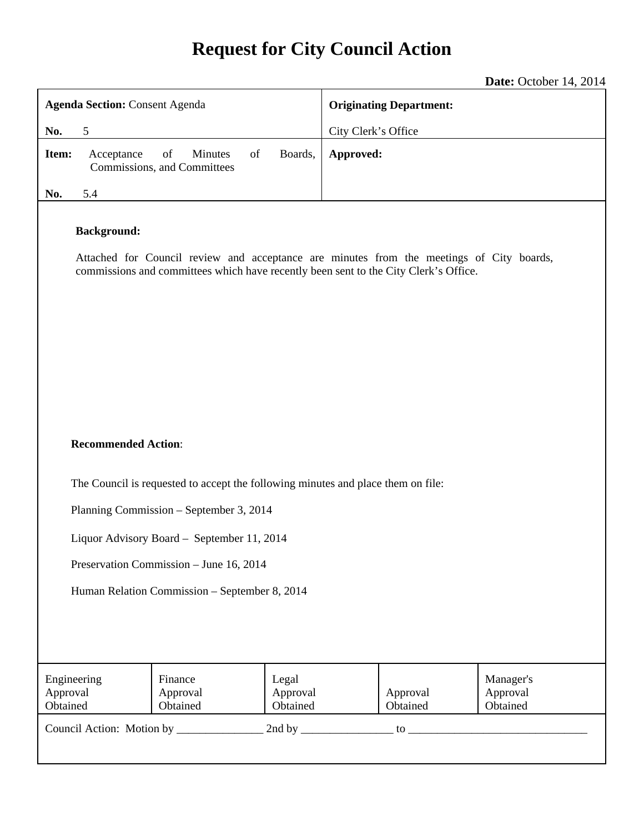# **Request for City Council Action**

# **Date:** October 14, 2014

| <b>Agenda Section: Consent Agenda</b>                                                                                                                                                                  |                                                    |                               | <b>Originating Department:</b> |                      |                                   |  |
|--------------------------------------------------------------------------------------------------------------------------------------------------------------------------------------------------------|----------------------------------------------------|-------------------------------|--------------------------------|----------------------|-----------------------------------|--|
| 5<br>No.                                                                                                                                                                                               |                                                    |                               | City Clerk's Office            |                      |                                   |  |
| Item:<br>Acceptance                                                                                                                                                                                    | of<br>Minutes<br>of<br>Commissions, and Committees | Boards,                       | Approved:                      |                      |                                   |  |
| No.<br>5.4                                                                                                                                                                                             |                                                    |                               |                                |                      |                                   |  |
| <b>Background:</b><br>Attached for Council review and acceptance are minutes from the meetings of City boards,<br>commissions and committees which have recently been sent to the City Clerk's Office. |                                                    |                               |                                |                      |                                   |  |
| <b>Recommended Action:</b>                                                                                                                                                                             |                                                    |                               |                                |                      |                                   |  |
| The Council is requested to accept the following minutes and place them on file:<br>Planning Commission - September 3, 2014                                                                            |                                                    |                               |                                |                      |                                   |  |
| Liquor Advisory Board - September 11, 2014                                                                                                                                                             |                                                    |                               |                                |                      |                                   |  |
| Preservation Commission - June 16, 2014                                                                                                                                                                |                                                    |                               |                                |                      |                                   |  |
| Human Relation Commission - September 8, 2014                                                                                                                                                          |                                                    |                               |                                |                      |                                   |  |
| Engineering<br>Approval<br>Obtained                                                                                                                                                                    | Finance<br>Approval<br>Obtained                    | Legal<br>Approval<br>Obtained |                                | Approval<br>Obtained | Manager's<br>Approval<br>Obtained |  |
|                                                                                                                                                                                                        |                                                    |                               |                                |                      |                                   |  |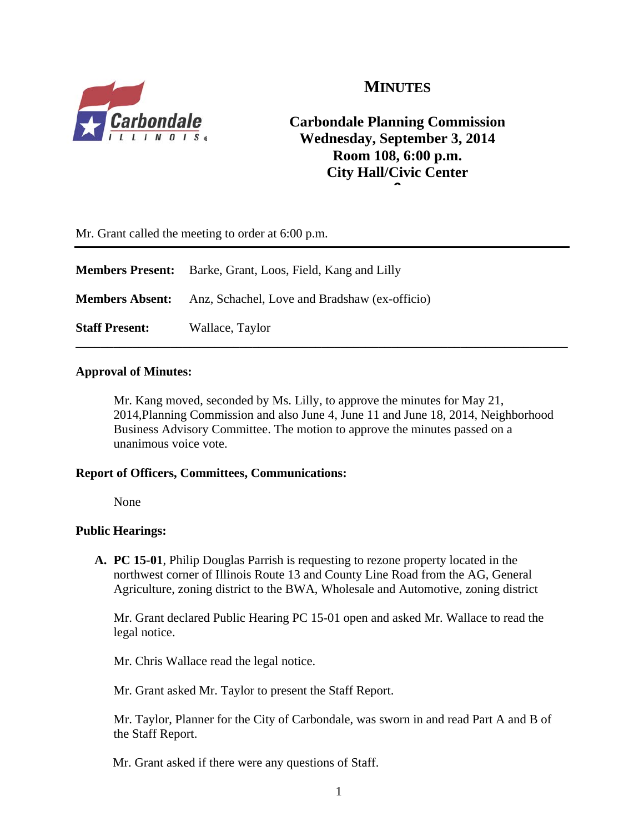

# **MINUTES**

# **Carbondale Planning Commission Wednesday, September 3, 2014 Room 108, 6:00 p.m. City Hall/Civic Center 6**

Mr. Grant called the meeting to order at 6:00 p.m.

|                        | <b>Members Present:</b> Barke, Grant, Loos, Field, Kang and Lilly |  |  |
|------------------------|-------------------------------------------------------------------|--|--|
| <b>Members Absent:</b> | Anz, Schachel, Love and Bradshaw (ex-officio)                     |  |  |
| <b>Staff Present:</b>  | Wallace, Taylor                                                   |  |  |

### **Approval of Minutes:**

Mr. Kang moved, seconded by Ms. Lilly, to approve the minutes for May 21, 2014,Planning Commission and also June 4, June 11 and June 18, 2014, Neighborhood Business Advisory Committee. The motion to approve the minutes passed on a unanimous voice vote.

### **Report of Officers, Committees, Communications:**

None

### **Public Hearings:**

**A. PC 15-01**, Philip Douglas Parrish is requesting to rezone property located in the northwest corner of Illinois Route 13 and County Line Road from the AG, General Agriculture, zoning district to the BWA, Wholesale and Automotive, zoning district

Mr. Grant declared Public Hearing PC 15-01 open and asked Mr. Wallace to read the legal notice.

Mr. Chris Wallace read the legal notice.

Mr. Grant asked Mr. Taylor to present the Staff Report.

 Mr. Taylor, Planner for the City of Carbondale, was sworn in and read Part A and B of the Staff Report.

Mr. Grant asked if there were any questions of Staff.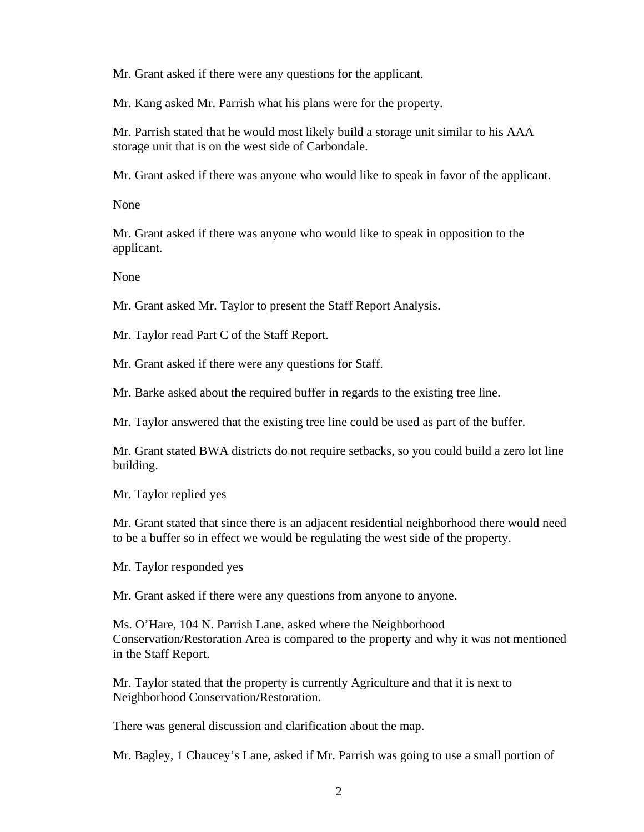Mr. Grant asked if there were any questions for the applicant.

Mr. Kang asked Mr. Parrish what his plans were for the property.

Mr. Parrish stated that he would most likely build a storage unit similar to his AAA storage unit that is on the west side of Carbondale.

Mr. Grant asked if there was anyone who would like to speak in favor of the applicant.

None

Mr. Grant asked if there was anyone who would like to speak in opposition to the applicant.

None

Mr. Grant asked Mr. Taylor to present the Staff Report Analysis.

Mr. Taylor read Part C of the Staff Report.

Mr. Grant asked if there were any questions for Staff.

Mr. Barke asked about the required buffer in regards to the existing tree line.

Mr. Taylor answered that the existing tree line could be used as part of the buffer.

Mr. Grant stated BWA districts do not require setbacks, so you could build a zero lot line building.

Mr. Taylor replied yes

Mr. Grant stated that since there is an adjacent residential neighborhood there would need to be a buffer so in effect we would be regulating the west side of the property.

Mr. Taylor responded yes

Mr. Grant asked if there were any questions from anyone to anyone.

Ms. O'Hare, 104 N. Parrish Lane, asked where the Neighborhood Conservation/Restoration Area is compared to the property and why it was not mentioned in the Staff Report.

Mr. Taylor stated that the property is currently Agriculture and that it is next to Neighborhood Conservation/Restoration.

There was general discussion and clarification about the map.

Mr. Bagley, 1 Chaucey's Lane, asked if Mr. Parrish was going to use a small portion of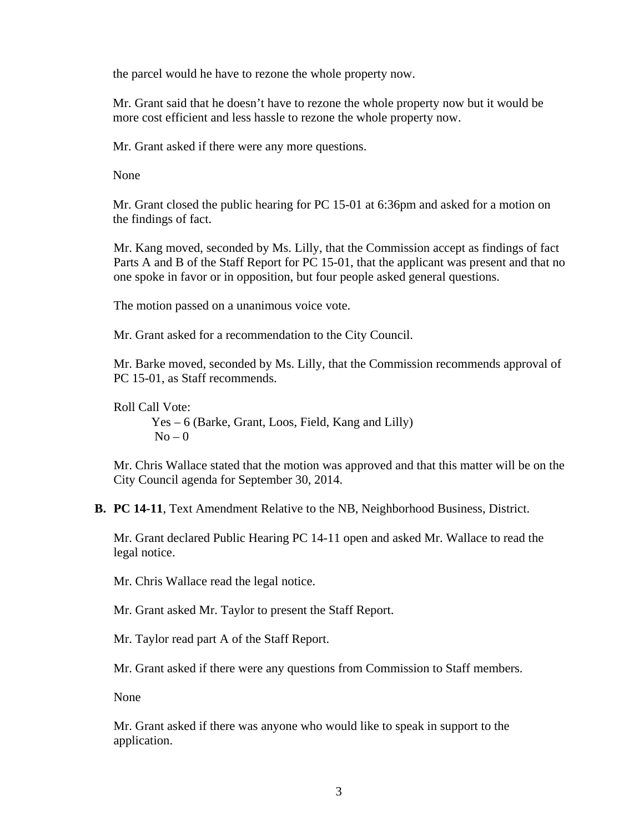the parcel would he have to rezone the whole property now.

Mr. Grant said that he doesn't have to rezone the whole property now but it would be more cost efficient and less hassle to rezone the whole property now.

Mr. Grant asked if there were any more questions.

None

Mr. Grant closed the public hearing for PC 15-01 at 6:36pm and asked for a motion on the findings of fact.

Mr. Kang moved, seconded by Ms. Lilly, that the Commission accept as findings of fact Parts A and B of the Staff Report for PC 15-01, that the applicant was present and that no one spoke in favor or in opposition, but four people asked general questions.

The motion passed on a unanimous voice vote.

Mr. Grant asked for a recommendation to the City Council.

Mr. Barke moved, seconded by Ms. Lilly, that the Commission recommends approval of PC 15-01, as Staff recommends.

Roll Call Vote:

Yes – 6 (Barke, Grant, Loos, Field, Kang and Lilly)  $No - 0$ 

Mr. Chris Wallace stated that the motion was approved and that this matter will be on the City Council agenda for September 30, 2014.

**B. PC 14-11**, Text Amendment Relative to the NB, Neighborhood Business, District.

Mr. Grant declared Public Hearing PC 14-11 open and asked Mr. Wallace to read the legal notice.

Mr. Chris Wallace read the legal notice.

Mr. Grant asked Mr. Taylor to present the Staff Report.

Mr. Taylor read part A of the Staff Report.

Mr. Grant asked if there were any questions from Commission to Staff members.

None

 Mr. Grant asked if there was anyone who would like to speak in support to the application.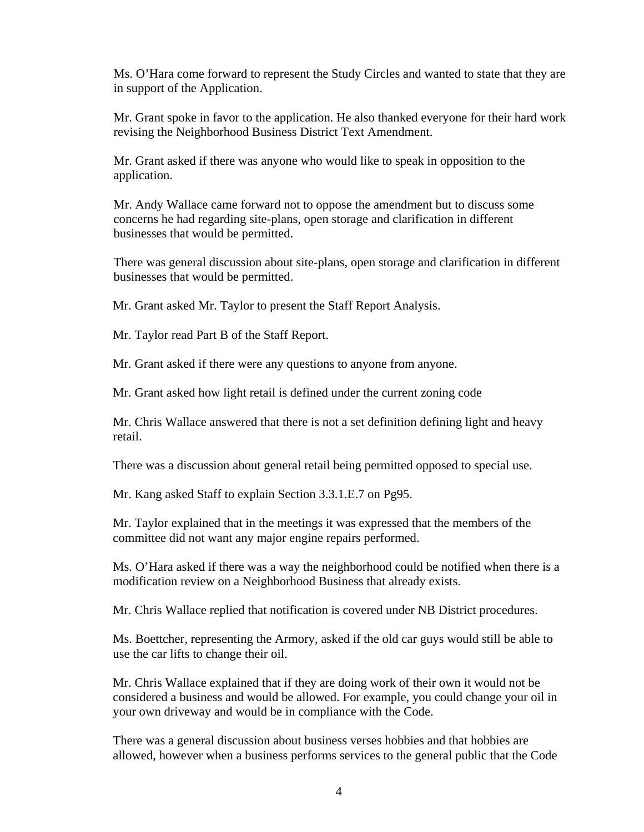Ms. O'Hara come forward to represent the Study Circles and wanted to state that they are in support of the Application.

 Mr. Grant spoke in favor to the application. He also thanked everyone for their hard work revising the Neighborhood Business District Text Amendment.

 Mr. Grant asked if there was anyone who would like to speak in opposition to the application.

Mr. Andy Wallace came forward not to oppose the amendment but to discuss some concerns he had regarding site-plans, open storage and clarification in different businesses that would be permitted.

There was general discussion about site-plans, open storage and clarification in different businesses that would be permitted.

Mr. Grant asked Mr. Taylor to present the Staff Report Analysis.

Mr. Taylor read Part B of the Staff Report.

Mr. Grant asked if there were any questions to anyone from anyone.

Mr. Grant asked how light retail is defined under the current zoning code

Mr. Chris Wallace answered that there is not a set definition defining light and heavy retail.

There was a discussion about general retail being permitted opposed to special use.

Mr. Kang asked Staff to explain Section 3.3.1.E.7 on Pg95.

Mr. Taylor explained that in the meetings it was expressed that the members of the committee did not want any major engine repairs performed.

Ms. O'Hara asked if there was a way the neighborhood could be notified when there is a modification review on a Neighborhood Business that already exists.

Mr. Chris Wallace replied that notification is covered under NB District procedures.

Ms. Boettcher, representing the Armory, asked if the old car guys would still be able to use the car lifts to change their oil.

Mr. Chris Wallace explained that if they are doing work of their own it would not be considered a business and would be allowed. For example, you could change your oil in your own driveway and would be in compliance with the Code.

There was a general discussion about business verses hobbies and that hobbies are allowed, however when a business performs services to the general public that the Code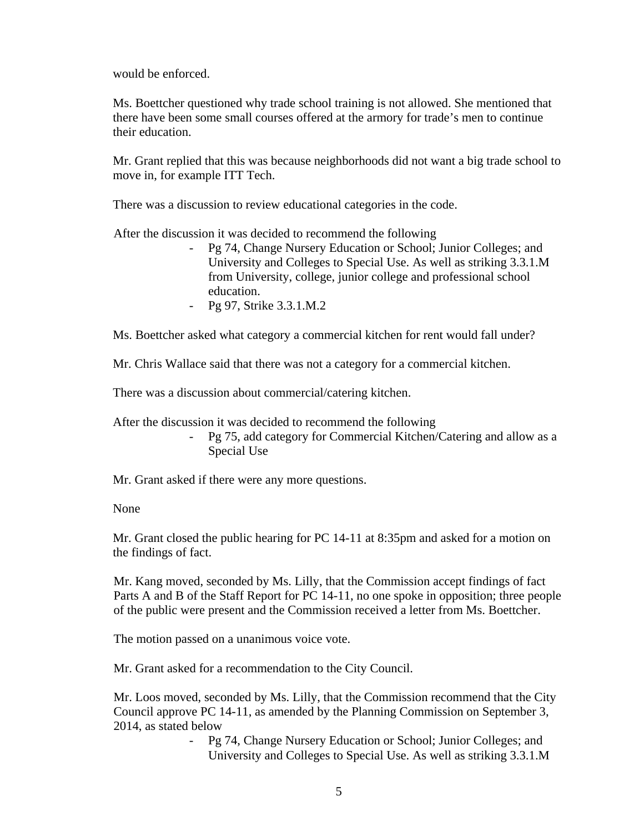would be enforced.

Ms. Boettcher questioned why trade school training is not allowed. She mentioned that there have been some small courses offered at the armory for trade's men to continue their education.

Mr. Grant replied that this was because neighborhoods did not want a big trade school to move in, for example ITT Tech.

There was a discussion to review educational categories in the code.

After the discussion it was decided to recommend the following

- Pg 74, Change Nursery Education or School; Junior Colleges; and University and Colleges to Special Use. As well as striking 3.3.1.M from University, college, junior college and professional school education.
- Pg 97, Strike 3.3.1.M.2

Ms. Boettcher asked what category a commercial kitchen for rent would fall under?

Mr. Chris Wallace said that there was not a category for a commercial kitchen.

There was a discussion about commercial/catering kitchen.

After the discussion it was decided to recommend the following

- Pg 75, add category for Commercial Kitchen/Catering and allow as a Special Use

Mr. Grant asked if there were any more questions.

None

Mr. Grant closed the public hearing for PC 14-11 at 8:35pm and asked for a motion on the findings of fact.

Mr. Kang moved, seconded by Ms. Lilly, that the Commission accept findings of fact Parts A and B of the Staff Report for PC 14-11, no one spoke in opposition; three people of the public were present and the Commission received a letter from Ms. Boettcher.

The motion passed on a unanimous voice vote.

Mr. Grant asked for a recommendation to the City Council.

Mr. Loos moved, seconded by Ms. Lilly, that the Commission recommend that the City Council approve PC 14-11, as amended by the Planning Commission on September 3, 2014, as stated below

> - Pg 74, Change Nursery Education or School; Junior Colleges; and University and Colleges to Special Use. As well as striking 3.3.1.M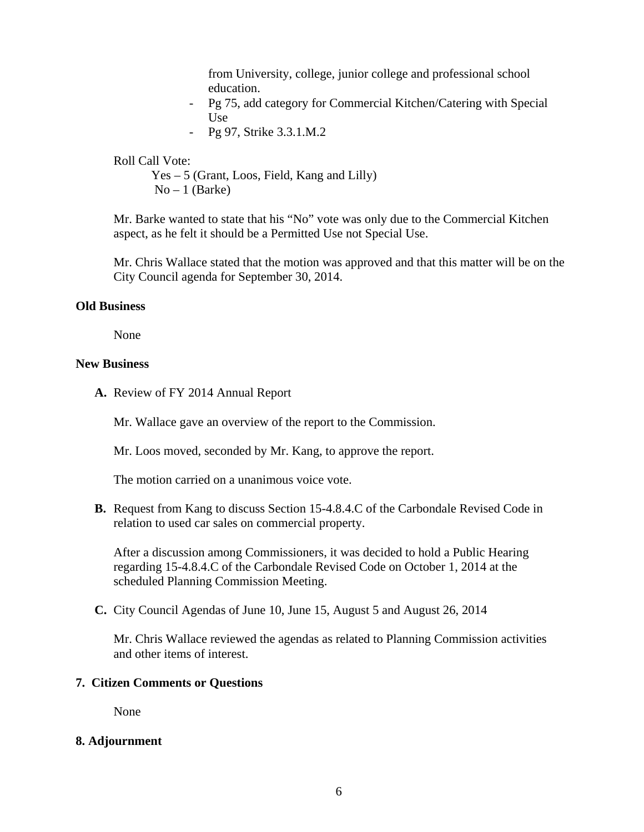from University, college, junior college and professional school education.

- Pg 75, add category for Commercial Kitchen/Catering with Special Use
- Pg 97, Strike 3.3.1.M.2

Roll Call Vote:

Yes – 5 (Grant, Loos, Field, Kang and Lilly)  $No-1$  (Barke)

Mr. Barke wanted to state that his "No" vote was only due to the Commercial Kitchen aspect, as he felt it should be a Permitted Use not Special Use.

Mr. Chris Wallace stated that the motion was approved and that this matter will be on the City Council agenda for September 30, 2014.

### **Old Business**

None

## **New Business**

**A.** Review of FY 2014 Annual Report

Mr. Wallace gave an overview of the report to the Commission.

Mr. Loos moved, seconded by Mr. Kang, to approve the report.

The motion carried on a unanimous voice vote.

**B.** Request from Kang to discuss Section 15-4.8.4.C of the Carbondale Revised Code in relation to used car sales on commercial property.

After a discussion among Commissioners, it was decided to hold a Public Hearing regarding 15-4.8.4.C of the Carbondale Revised Code on October 1, 2014 at the scheduled Planning Commission Meeting.

**C.** City Council Agendas of June 10, June 15, August 5 and August 26, 2014

Mr. Chris Wallace reviewed the agendas as related to Planning Commission activities and other items of interest.

### **7. Citizen Comments or Questions**

None

### **8. Adjournment**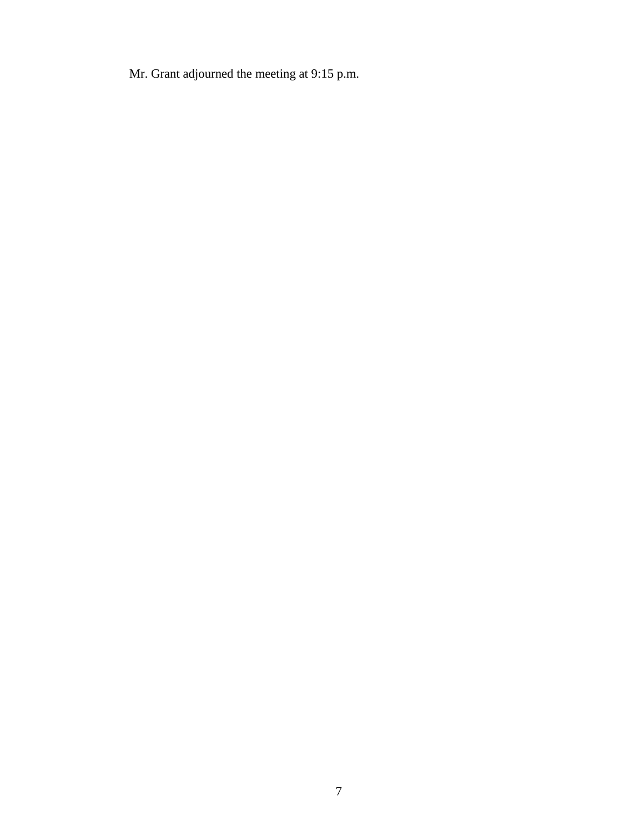Mr. Grant adjourned the meeting at 9:15 p.m.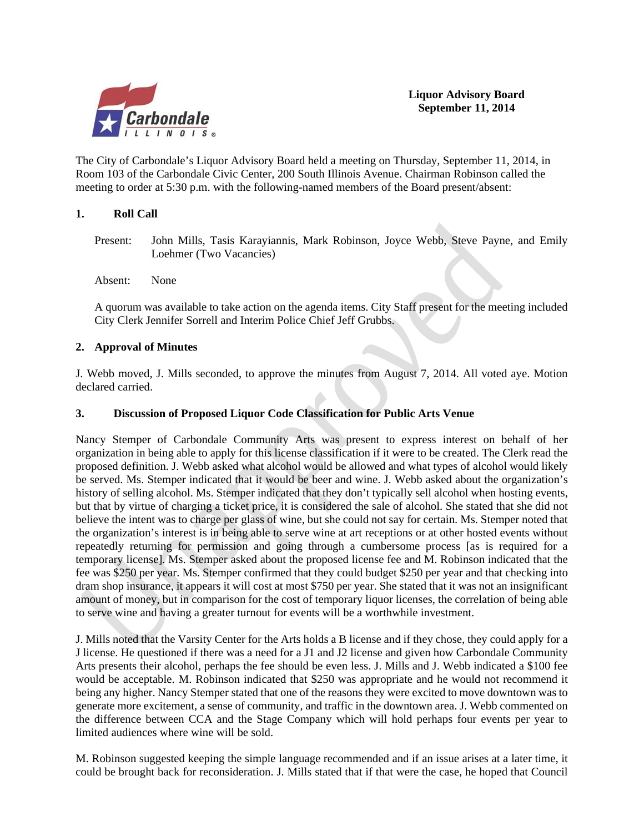

**Liquor Advisory Board September 11, 2014**

The City of Carbondale's Liquor Advisory Board held a meeting on Thursday, September 11, 2014, in Room 103 of the Carbondale Civic Center, 200 South Illinois Avenue. Chairman Robinson called the meeting to order at 5:30 p.m. with the following-named members of the Board present/absent:

### **1. Roll Call**

Present: John Mills, Tasis Karayiannis, Mark Robinson, Joyce Webb, Steve Payne, and Emily Loehmer (Two Vacancies)

Absent: None

A quorum was available to take action on the agenda items. City Staff present for the meeting included City Clerk Jennifer Sorrell and Interim Police Chief Jeff Grubbs.

### **2. Approval of Minutes**

J. Webb moved, J. Mills seconded, to approve the minutes from August 7, 2014. All voted aye. Motion declared carried.

#### **3. Discussion of Proposed Liquor Code Classification for Public Arts Venue**

Nancy Stemper of Carbondale Community Arts was present to express interest on behalf of her organization in being able to apply for this license classification if it were to be created. The Clerk read the proposed definition. J. Webb asked what alcohol would be allowed and what types of alcohol would likely be served. Ms. Stemper indicated that it would be beer and wine. J. Webb asked about the organization's history of selling alcohol. Ms. Stemper indicated that they don't typically sell alcohol when hosting events, but that by virtue of charging a ticket price, it is considered the sale of alcohol. She stated that she did not believe the intent was to charge per glass of wine, but she could not say for certain. Ms. Stemper noted that the organization's interest is in being able to serve wine at art receptions or at other hosted events without repeatedly returning for permission and going through a cumbersome process [as is required for a temporary license]. Ms. Stemper asked about the proposed license fee and M. Robinson indicated that the fee was \$250 per year. Ms. Stemper confirmed that they could budget \$250 per year and that checking into dram shop insurance, it appears it will cost at most \$750 per year. She stated that it was not an insignificant amount of money, but in comparison for the cost of temporary liquor licenses, the correlation of being able to serve wine and having a greater turnout for events will be a worthwhile investment.

J. Mills noted that the Varsity Center for the Arts holds a B license and if they chose, they could apply for a J license. He questioned if there was a need for a J1 and J2 license and given how Carbondale Community Arts presents their alcohol, perhaps the fee should be even less. J. Mills and J. Webb indicated a \$100 fee would be acceptable. M. Robinson indicated that \$250 was appropriate and he would not recommend it being any higher. Nancy Stemper stated that one of the reasons they were excited to move downtown was to generate more excitement, a sense of community, and traffic in the downtown area. J. Webb commented on the difference between CCA and the Stage Company which will hold perhaps four events per year to limited audiences where wine will be sold.

M. Robinson suggested keeping the simple language recommended and if an issue arises at a later time, it could be brought back for reconsideration. J. Mills stated that if that were the case, he hoped that Council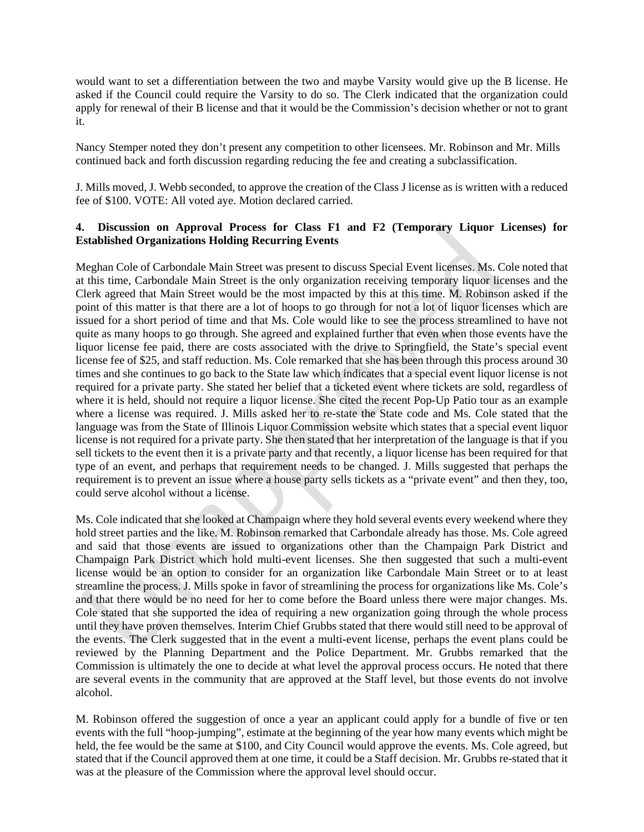would want to set a differentiation between the two and maybe Varsity would give up the B license. He asked if the Council could require the Varsity to do so. The Clerk indicated that the organization could apply for renewal of their B license and that it would be the Commission's decision whether or not to grant it.

Nancy Stemper noted they don't present any competition to other licensees. Mr. Robinson and Mr. Mills continued back and forth discussion regarding reducing the fee and creating a subclassification.

J. Mills moved, J. Webb seconded, to approve the creation of the Class J license as is written with a reduced fee of \$100. VOTE: All voted aye. Motion declared carried.

### **4. Discussion on Approval Process for Class F1 and F2 (Temporary Liquor Licenses) for Established Organizations Holding Recurring Events**

Meghan Cole of Carbondale Main Street was present to discuss Special Event licenses. Ms. Cole noted that at this time, Carbondale Main Street is the only organization receiving temporary liquor licenses and the Clerk agreed that Main Street would be the most impacted by this at this time. M. Robinson asked if the point of this matter is that there are a lot of hoops to go through for not a lot of liquor licenses which are issued for a short period of time and that Ms. Cole would like to see the process streamlined to have not quite as many hoops to go through. She agreed and explained further that even when those events have the liquor license fee paid, there are costs associated with the drive to Springfield, the State's special event license fee of \$25, and staff reduction. Ms. Cole remarked that she has been through this process around 30 times and she continues to go back to the State law which indicates that a special event liquor license is not required for a private party. She stated her belief that a ticketed event where tickets are sold, regardless of where it is held, should not require a liquor license. She cited the recent Pop-Up Patio tour as an example where a license was required. J. Mills asked her to re-state the State code and Ms. Cole stated that the language was from the State of Illinois Liquor Commission website which states that a special event liquor license is not required for a private party. She then stated that her interpretation of the language is that if you sell tickets to the event then it is a private party and that recently, a liquor license has been required for that type of an event, and perhaps that requirement needs to be changed. J. Mills suggested that perhaps the requirement is to prevent an issue where a house party sells tickets as a "private event" and then they, too, could serve alcohol without a license.

Ms. Cole indicated that she looked at Champaign where they hold several events every weekend where they hold street parties and the like. M. Robinson remarked that Carbondale already has those. Ms. Cole agreed and said that those events are issued to organizations other than the Champaign Park District and Champaign Park District which hold multi-event licenses. She then suggested that such a multi-event license would be an option to consider for an organization like Carbondale Main Street or to at least streamline the process. J. Mills spoke in favor of streamlining the process for organizations like Ms. Cole's and that there would be no need for her to come before the Board unless there were major changes. Ms. Cole stated that she supported the idea of requiring a new organization going through the whole process until they have proven themselves. Interim Chief Grubbs stated that there would still need to be approval of the events. The Clerk suggested that in the event a multi-event license, perhaps the event plans could be reviewed by the Planning Department and the Police Department. Mr. Grubbs remarked that the Commission is ultimately the one to decide at what level the approval process occurs. He noted that there are several events in the community that are approved at the Staff level, but those events do not involve alcohol.

M. Robinson offered the suggestion of once a year an applicant could apply for a bundle of five or ten events with the full "hoop-jumping", estimate at the beginning of the year how many events which might be held, the fee would be the same at \$100, and City Council would approve the events. Ms. Cole agreed, but stated that if the Council approved them at one time, it could be a Staff decision. Mr. Grubbs re-stated that it was at the pleasure of the Commission where the approval level should occur.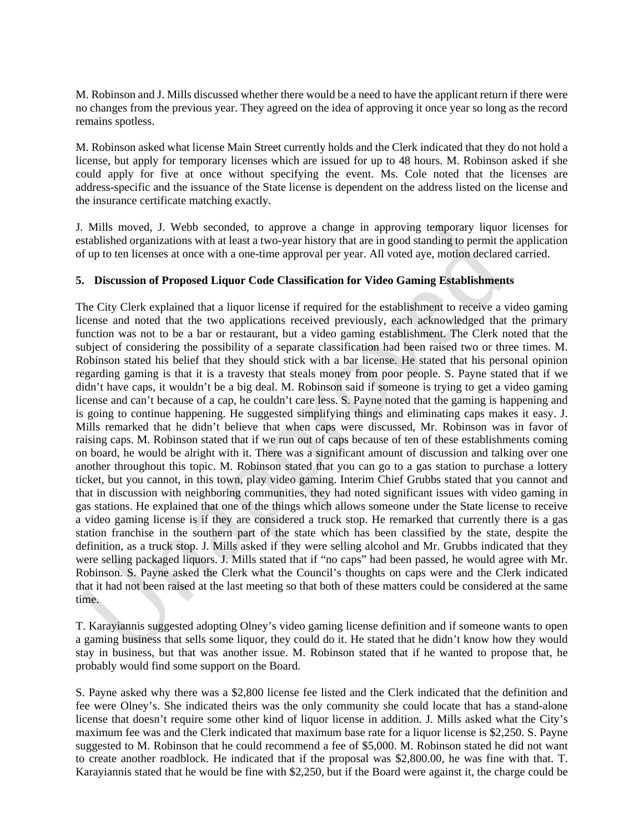M. Robinson and J. Mills discussed whether there would be a need to have the applicant return if there were no changes from the previous year. They agreed on the idea of approving it once year so long as the record remains spotless.

M. Robinson asked what license Main Street currently holds and the Clerk indicated that they do not hold a license, but apply for temporary licenses which are issued for up to 48 hours. M. Robinson asked if she could apply for five at once without specifying the event. Ms. Cole noted that the licenses are address-specific and the issuance of the State license is dependent on the address listed on the license and the insurance certificate matching exactly.

J. Mills moved, J. Webb seconded, to approve a change in approving temporary liquor licenses for established organizations with at least a two-year history that are in good standing to permit the application of up to ten licenses at once with a one-time approval per year. All voted aye, motion declared carried.

### **5. Discussion of Proposed Liquor Code Classification for Video Gaming Establishments**

The City Clerk explained that a liquor license if required for the establishment to receive a video gaming license and noted that the two applications received previously, each acknowledged that the primary function was not to be a bar or restaurant, but a video gaming establishment. The Clerk noted that the subject of considering the possibility of a separate classification had been raised two or three times. M. Robinson stated his belief that they should stick with a bar license. He stated that his personal opinion regarding gaming is that it is a travesty that steals money from poor people. S. Payne stated that if we didn't have caps, it wouldn't be a big deal. M. Robinson said if someone is trying to get a video gaming license and can't because of a cap, he couldn't care less. S. Payne noted that the gaming is happening and is going to continue happening. He suggested simplifying things and eliminating caps makes it easy. J. Mills remarked that he didn't believe that when caps were discussed, Mr. Robinson was in favor of raising caps. M. Robinson stated that if we run out of caps because of ten of these establishments coming on board, he would be alright with it. There was a significant amount of discussion and talking over one another throughout this topic. M. Robinson stated that you can go to a gas station to purchase a lottery ticket, but you cannot, in this town, play video gaming. Interim Chief Grubbs stated that you cannot and that in discussion with neighboring communities, they had noted significant issues with video gaming in gas stations. He explained that one of the things which allows someone under the State license to receive a video gaming license is if they are considered a truck stop. He remarked that currently there is a gas station franchise in the southern part of the state which has been classified by the state, despite the definition, as a truck stop. J. Mills asked if they were selling alcohol and Mr. Grubbs indicated that they were selling packaged liquors. J. Mills stated that if "no caps" had been passed, he would agree with Mr. Robinson. S. Payne asked the Clerk what the Council's thoughts on caps were and the Clerk indicated that it had not been raised at the last meeting so that both of these matters could be considered at the same time.

T. Karayiannis suggested adopting Olney's video gaming license definition and if someone wants to open a gaming business that sells some liquor, they could do it. He stated that he didn't know how they would stay in business, but that was another issue. M. Robinson stated that if he wanted to propose that, he probably would find some support on the Board.

S. Payne asked why there was a \$2,800 license fee listed and the Clerk indicated that the definition and fee were Olney's. She indicated theirs was the only community she could locate that has a stand-alone license that doesn't require some other kind of liquor license in addition. J. Mills asked what the City's maximum fee was and the Clerk indicated that maximum base rate for a liquor license is \$2,250. S. Payne suggested to M. Robinson that he could recommend a fee of \$5,000. M. Robinson stated he did not want to create another roadblock. He indicated that if the proposal was \$2,800.00, he was fine with that. T. Karayiannis stated that he would be fine with \$2,250, but if the Board were against it, the charge could be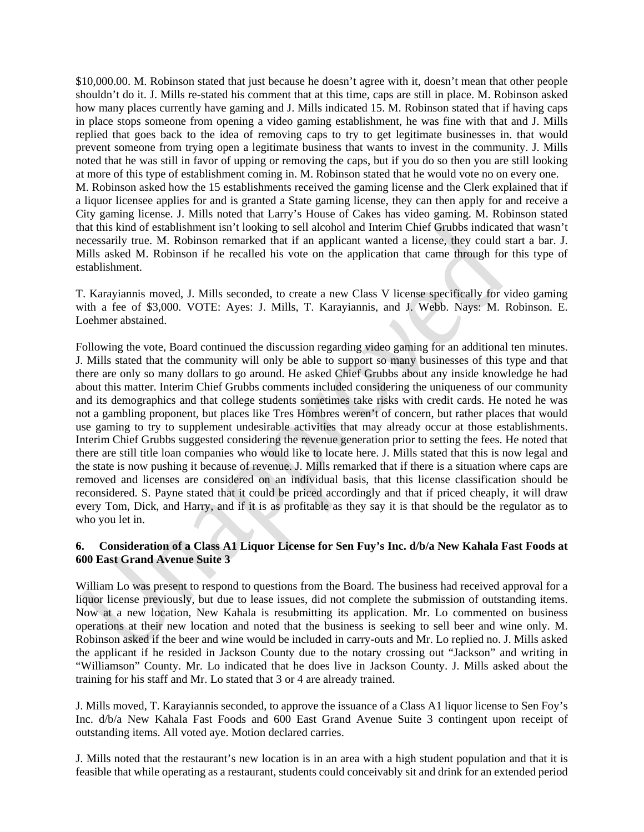\$10,000.00. M. Robinson stated that just because he doesn't agree with it, doesn't mean that other people shouldn't do it. J. Mills re-stated his comment that at this time, caps are still in place. M. Robinson asked how many places currently have gaming and J. Mills indicated 15. M. Robinson stated that if having caps in place stops someone from opening a video gaming establishment, he was fine with that and J. Mills replied that goes back to the idea of removing caps to try to get legitimate businesses in. that would prevent someone from trying open a legitimate business that wants to invest in the community. J. Mills noted that he was still in favor of upping or removing the caps, but if you do so then you are still looking at more of this type of establishment coming in. M. Robinson stated that he would vote no on every one. M. Robinson asked how the 15 establishments received the gaming license and the Clerk explained that if a liquor licensee applies for and is granted a State gaming license, they can then apply for and receive a City gaming license. J. Mills noted that Larry's House of Cakes has video gaming. M. Robinson stated that this kind of establishment isn't looking to sell alcohol and Interim Chief Grubbs indicated that wasn't necessarily true. M. Robinson remarked that if an applicant wanted a license, they could start a bar. J. Mills asked M. Robinson if he recalled his vote on the application that came through for this type of establishment.

T. Karayiannis moved, J. Mills seconded, to create a new Class V license specifically for video gaming with a fee of \$3,000. VOTE: Ayes: J. Mills, T. Karayiannis, and J. Webb. Nays: M. Robinson. E. Loehmer abstained.

Following the vote, Board continued the discussion regarding video gaming for an additional ten minutes. J. Mills stated that the community will only be able to support so many businesses of this type and that there are only so many dollars to go around. He asked Chief Grubbs about any inside knowledge he had about this matter. Interim Chief Grubbs comments included considering the uniqueness of our community and its demographics and that college students sometimes take risks with credit cards. He noted he was not a gambling proponent, but places like Tres Hombres weren't of concern, but rather places that would use gaming to try to supplement undesirable activities that may already occur at those establishments. Interim Chief Grubbs suggested considering the revenue generation prior to setting the fees. He noted that there are still title loan companies who would like to locate here. J. Mills stated that this is now legal and the state is now pushing it because of revenue. J. Mills remarked that if there is a situation where caps are removed and licenses are considered on an individual basis, that this license classification should be reconsidered. S. Payne stated that it could be priced accordingly and that if priced cheaply, it will draw every Tom, Dick, and Harry, and if it is as profitable as they say it is that should be the regulator as to who you let in.

### **6. Consideration of a Class A1 Liquor License for Sen Fuy's Inc. d/b/a New Kahala Fast Foods at 600 East Grand Avenue Suite 3**

William Lo was present to respond to questions from the Board. The business had received approval for a liquor license previously, but due to lease issues, did not complete the submission of outstanding items. Now at a new location, New Kahala is resubmitting its application. Mr. Lo commented on business operations at their new location and noted that the business is seeking to sell beer and wine only. M. Robinson asked if the beer and wine would be included in carry-outs and Mr. Lo replied no. J. Mills asked the applicant if he resided in Jackson County due to the notary crossing out "Jackson" and writing in "Williamson" County. Mr. Lo indicated that he does live in Jackson County. J. Mills asked about the training for his staff and Mr. Lo stated that 3 or 4 are already trained.

J. Mills moved, T. Karayiannis seconded, to approve the issuance of a Class A1 liquor license to Sen Foy's Inc. d/b/a New Kahala Fast Foods and 600 East Grand Avenue Suite 3 contingent upon receipt of outstanding items. All voted aye. Motion declared carries.

J. Mills noted that the restaurant's new location is in an area with a high student population and that it is feasible that while operating as a restaurant, students could conceivably sit and drink for an extended period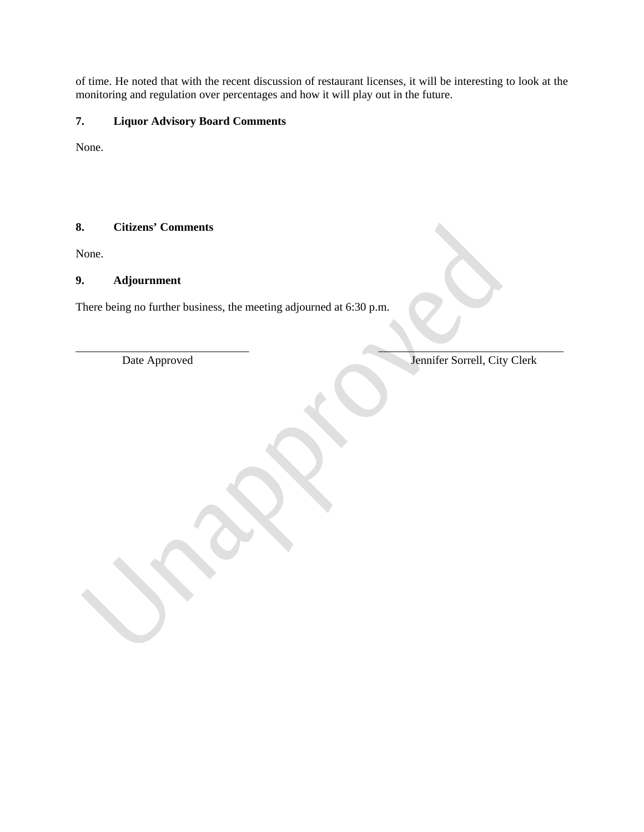of time. He noted that with the recent discussion of restaurant licenses, it will be interesting to look at the monitoring and regulation over percentages and how it will play out in the future.

# **7. Liquor Advisory Board Comments**

None.

# **8. Citizens' Comments**

None.

### **9. Adjournment**

There being no further business, the meeting adjourned at 6:30 p.m.

 $\blacksquare$ Date Approved Jennifer Sorrell, City Clerk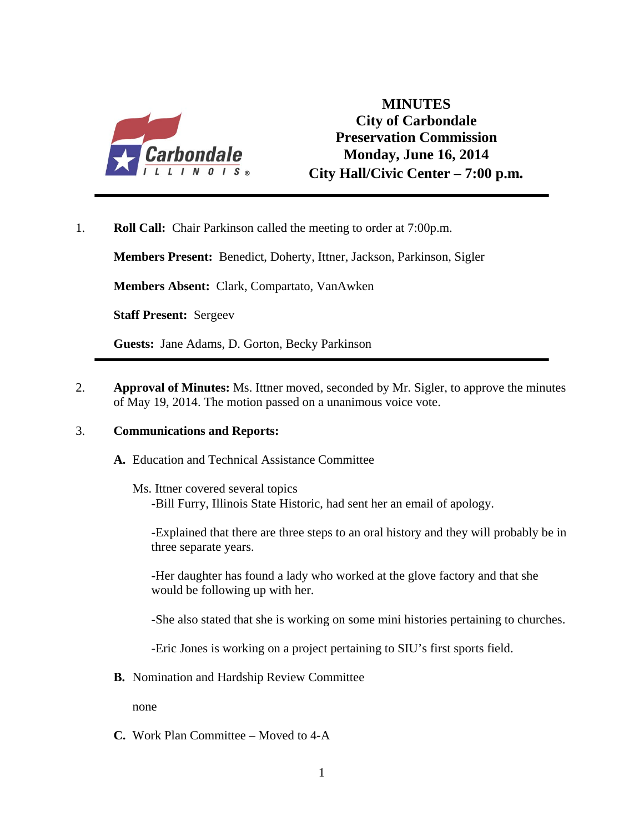

# **MINUTES City of Carbondale Preservation Commission Monday, June 16, 2014 City Hall/Civic Center – 7:00 p.m***.*

1. **Roll Call:** Chair Parkinson called the meeting to order at 7:00p.m.

**Members Present:** Benedict, Doherty, Ittner, Jackson, Parkinson, Sigler

**Members Absent:** Clark, Compartato, VanAwken

**Staff Present:** Sergeev

**Guests:** Jane Adams, D. Gorton, Becky Parkinson

2. **Approval of Minutes:** Ms. Ittner moved, seconded by Mr. Sigler, to approve the minutes of May 19, 2014. The motion passed on a unanimous voice vote.

### 3. **Communications and Reports:**

- **A.** Education and Technical Assistance Committee
	- Ms. Ittner covered several topics -Bill Furry, Illinois State Historic, had sent her an email of apology.

-Explained that there are three steps to an oral history and they will probably be in three separate years.

-Her daughter has found a lady who worked at the glove factory and that she would be following up with her.

-She also stated that she is working on some mini histories pertaining to churches.

-Eric Jones is working on a project pertaining to SIU's first sports field.

**B.** Nomination and Hardship Review Committee

none

**C.** Work Plan Committee – Moved to 4-A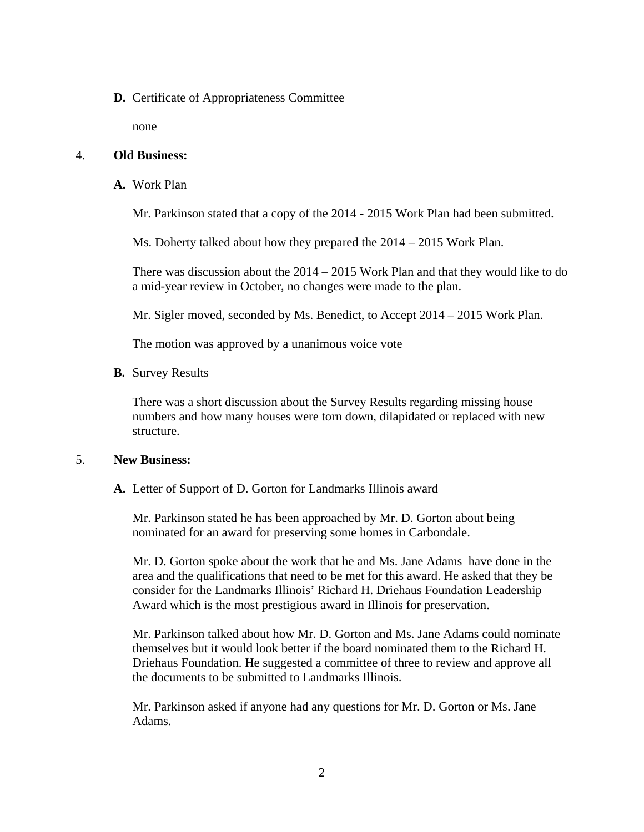### **D.** Certificate of Appropriateness Committee

none

### 4. **Old Business:**

**A.** Work Plan

Mr. Parkinson stated that a copy of the 2014 - 2015 Work Plan had been submitted.

Ms. Doherty talked about how they prepared the 2014 – 2015 Work Plan.

There was discussion about the 2014 – 2015 Work Plan and that they would like to do a mid-year review in October, no changes were made to the plan.

Mr. Sigler moved, seconded by Ms. Benedict, to Accept 2014 – 2015 Work Plan.

The motion was approved by a unanimous voice vote

**B.** Survey Results

There was a short discussion about the Survey Results regarding missing house numbers and how many houses were torn down, dilapidated or replaced with new structure.

### 5. **New Business:**

**A.** Letter of Support of D. Gorton for Landmarks Illinois award

Mr. Parkinson stated he has been approached by Mr. D. Gorton about being nominated for an award for preserving some homes in Carbondale.

Mr. D. Gorton spoke about the work that he and Ms. Jane Adams have done in the area and the qualifications that need to be met for this award. He asked that they be consider for the Landmarks Illinois' Richard H. Driehaus Foundation Leadership Award which is the most prestigious award in Illinois for preservation.

Mr. Parkinson talked about how Mr. D. Gorton and Ms. Jane Adams could nominate themselves but it would look better if the board nominated them to the Richard H. Driehaus Foundation. He suggested a committee of three to review and approve all the documents to be submitted to Landmarks Illinois.

Mr. Parkinson asked if anyone had any questions for Mr. D. Gorton or Ms. Jane Adams.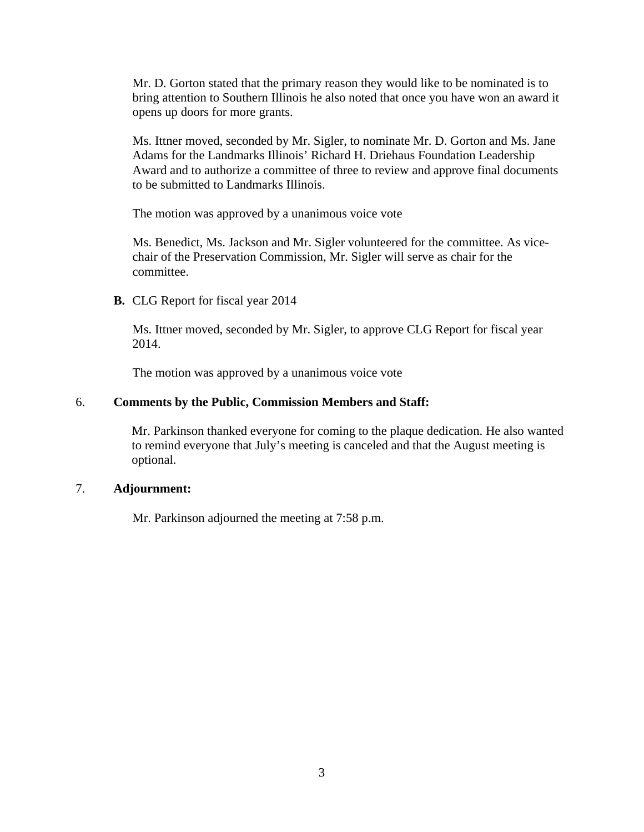Mr. D. Gorton stated that the primary reason they would like to be nominated is to bring attention to Southern Illinois he also noted that once you have won an award it opens up doors for more grants.

Ms. Ittner moved, seconded by Mr. Sigler, to nominate Mr. D. Gorton and Ms. Jane Adams for the Landmarks Illinois' Richard H. Driehaus Foundation Leadership Award and to authorize a committee of three to review and approve final documents to be submitted to Landmarks Illinois.

The motion was approved by a unanimous voice vote

Ms. Benedict, Ms. Jackson and Mr. Sigler volunteered for the committee. As vicechair of the Preservation Commission, Mr. Sigler will serve as chair for the committee.

**B.** CLG Report for fiscal year 2014

Ms. Ittner moved, seconded by Mr. Sigler, to approve CLG Report for fiscal year 2014.

The motion was approved by a unanimous voice vote

### 6. **Comments by the Public, Commission Members and Staff:**

Mr. Parkinson thanked everyone for coming to the plaque dedication. He also wanted to remind everyone that July's meeting is canceled and that the August meeting is optional.

### 7. **Adjournment:**

Mr. Parkinson adjourned the meeting at 7:58 p.m.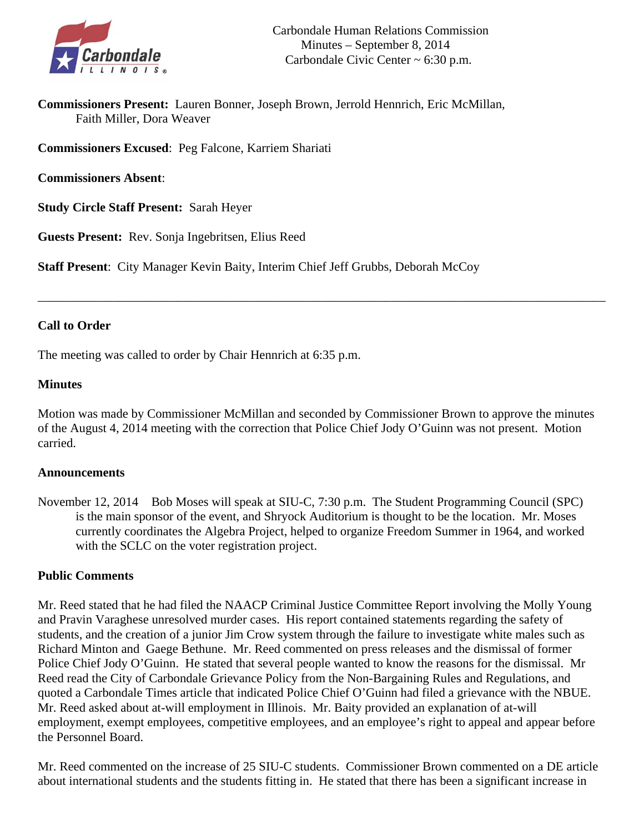

**Commissioners Present:** Lauren Bonner, Joseph Brown, Jerrold Hennrich, Eric McMillan, Faith Miller, Dora Weaver

**Commissioners Excused**: Peg Falcone, Karriem Shariati

**Commissioners Absent**:

**Study Circle Staff Present:** Sarah Heyer

**Guests Present:** Rev. Sonja Ingebritsen, Elius Reed

**Staff Present**: City Manager Kevin Baity, Interim Chief Jeff Grubbs, Deborah McCoy

# **Call to Order**

The meeting was called to order by Chair Hennrich at 6:35 p.m.

### **Minutes**

Motion was made by Commissioner McMillan and seconded by Commissioner Brown to approve the minutes of the August 4, 2014 meeting with the correction that Police Chief Jody O'Guinn was not present. Motion carried.

\_\_\_\_\_\_\_\_\_\_\_\_\_\_\_\_\_\_\_\_\_\_\_\_\_\_\_\_\_\_\_\_\_\_\_\_\_\_\_\_\_\_\_\_\_\_\_\_\_\_\_\_\_\_\_\_\_\_\_\_\_\_\_\_\_\_\_\_\_\_\_\_\_\_\_\_\_\_\_\_\_\_\_\_\_\_\_\_\_\_

### **Announcements**

November 12, 2014 Bob Moses will speak at SIU-C, 7:30 p.m. The Student Programming Council (SPC) is the main sponsor of the event, and Shryock Auditorium is thought to be the location. Mr. Moses currently coordinates the Algebra Project, helped to organize Freedom Summer in 1964, and worked with the SCLC on the voter registration project.

### **Public Comments**

Mr. Reed stated that he had filed the NAACP Criminal Justice Committee Report involving the Molly Young and Pravin Varaghese unresolved murder cases. His report contained statements regarding the safety of students, and the creation of a junior Jim Crow system through the failure to investigate white males such as Richard Minton and Gaege Bethune. Mr. Reed commented on press releases and the dismissal of former Police Chief Jody O'Guinn. He stated that several people wanted to know the reasons for the dismissal. Mr Reed read the City of Carbondale Grievance Policy from the Non-Bargaining Rules and Regulations, and quoted a Carbondale Times article that indicated Police Chief O'Guinn had filed a grievance with the NBUE. Mr. Reed asked about at-will employment in Illinois. Mr. Baity provided an explanation of at-will employment, exempt employees, competitive employees, and an employee's right to appeal and appear before the Personnel Board.

Mr. Reed commented on the increase of 25 SIU-C students. Commissioner Brown commented on a DE article about international students and the students fitting in. He stated that there has been a significant increase in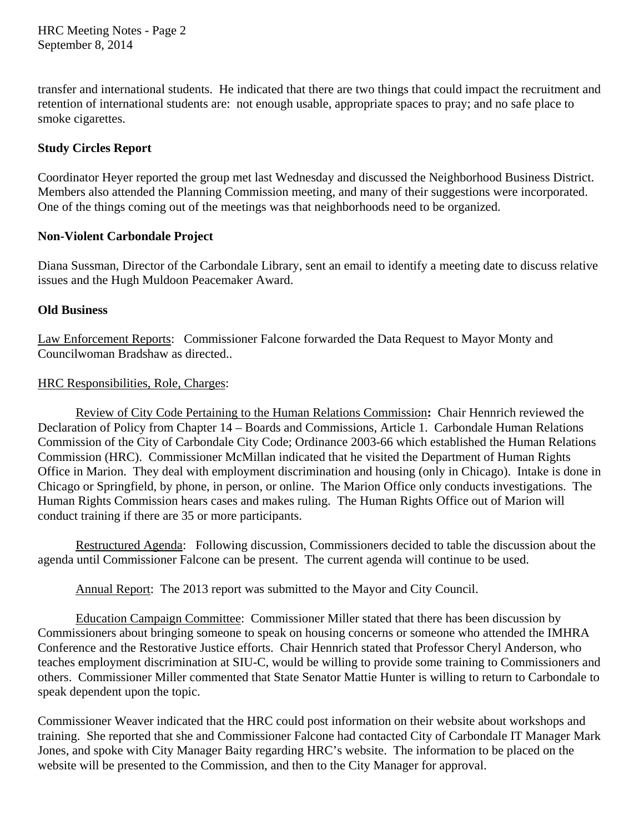HRC Meeting Notes - Page 2 September 8, 2014

transfer and international students. He indicated that there are two things that could impact the recruitment and retention of international students are: not enough usable, appropriate spaces to pray; and no safe place to smoke cigarettes.

# **Study Circles Report**

Coordinator Heyer reported the group met last Wednesday and discussed the Neighborhood Business District. Members also attended the Planning Commission meeting, and many of their suggestions were incorporated. One of the things coming out of the meetings was that neighborhoods need to be organized.

## **Non-Violent Carbondale Project**

Diana Sussman, Director of the Carbondale Library, sent an email to identify a meeting date to discuss relative issues and the Hugh Muldoon Peacemaker Award.

## **Old Business**

Law Enforcement Reports: Commissioner Falcone forwarded the Data Request to Mayor Monty and Councilwoman Bradshaw as directed..

## HRC Responsibilities, Role, Charges:

 Review of City Code Pertaining to the Human Relations Commission**:** Chair Hennrich reviewed the Declaration of Policy from Chapter 14 – Boards and Commissions, Article 1. Carbondale Human Relations Commission of the City of Carbondale City Code; Ordinance 2003-66 which established the Human Relations Commission (HRC). Commissioner McMillan indicated that he visited the Department of Human Rights Office in Marion. They deal with employment discrimination and housing (only in Chicago). Intake is done in Chicago or Springfield, by phone, in person, or online. The Marion Office only conducts investigations. The Human Rights Commission hears cases and makes ruling. The Human Rights Office out of Marion will conduct training if there are 35 or more participants.

 Restructured Agenda: Following discussion, Commissioners decided to table the discussion about the agenda until Commissioner Falcone can be present. The current agenda will continue to be used.

Annual Report: The 2013 report was submitted to the Mayor and City Council.

 Education Campaign Committee: Commissioner Miller stated that there has been discussion by Commissioners about bringing someone to speak on housing concerns or someone who attended the IMHRA Conference and the Restorative Justice efforts. Chair Hennrich stated that Professor Cheryl Anderson, who teaches employment discrimination at SIU-C, would be willing to provide some training to Commissioners and others. Commissioner Miller commented that State Senator Mattie Hunter is willing to return to Carbondale to speak dependent upon the topic.

Commissioner Weaver indicated that the HRC could post information on their website about workshops and training. She reported that she and Commissioner Falcone had contacted City of Carbondale IT Manager Mark Jones, and spoke with City Manager Baity regarding HRC's website. The information to be placed on the website will be presented to the Commission, and then to the City Manager for approval.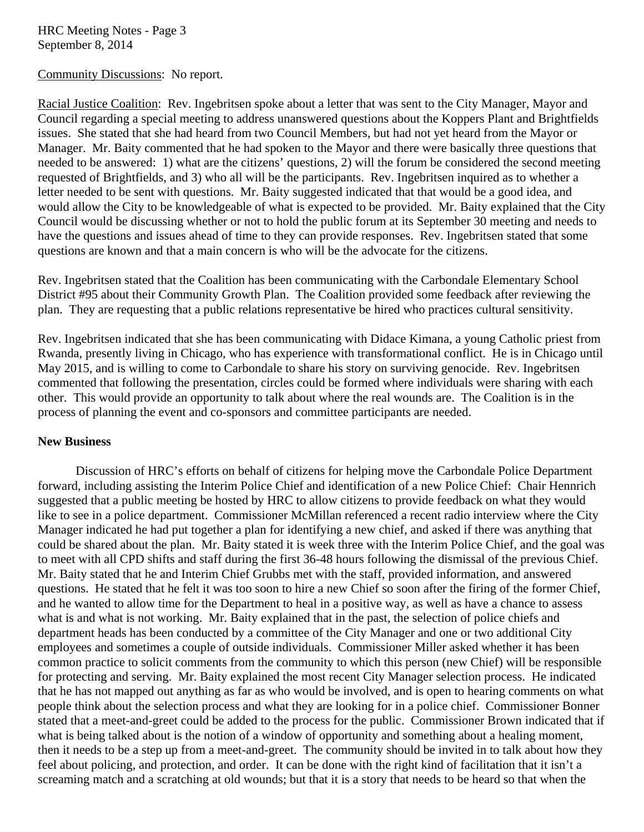HRC Meeting Notes - Page 3 September 8, 2014

Community Discussions: No report.

Racial Justice Coalition: Rev. Ingebritsen spoke about a letter that was sent to the City Manager, Mayor and Council regarding a special meeting to address unanswered questions about the Koppers Plant and Brightfields issues. She stated that she had heard from two Council Members, but had not yet heard from the Mayor or Manager. Mr. Baity commented that he had spoken to the Mayor and there were basically three questions that needed to be answered: 1) what are the citizens' questions, 2) will the forum be considered the second meeting requested of Brightfields, and 3) who all will be the participants. Rev. Ingebritsen inquired as to whether a letter needed to be sent with questions. Mr. Baity suggested indicated that that would be a good idea, and would allow the City to be knowledgeable of what is expected to be provided. Mr. Baity explained that the City Council would be discussing whether or not to hold the public forum at its September 30 meeting and needs to have the questions and issues ahead of time to they can provide responses. Rev. Ingebritsen stated that some questions are known and that a main concern is who will be the advocate for the citizens.

Rev. Ingebritsen stated that the Coalition has been communicating with the Carbondale Elementary School District #95 about their Community Growth Plan. The Coalition provided some feedback after reviewing the plan. They are requesting that a public relations representative be hired who practices cultural sensitivity.

Rev. Ingebritsen indicated that she has been communicating with Didace Kimana, a young Catholic priest from Rwanda, presently living in Chicago, who has experience with transformational conflict. He is in Chicago until May 2015, and is willing to come to Carbondale to share his story on surviving genocide. Rev. Ingebritsen commented that following the presentation, circles could be formed where individuals were sharing with each other. This would provide an opportunity to talk about where the real wounds are. The Coalition is in the process of planning the event and co-sponsors and committee participants are needed.

### **New Business**

Discussion of HRC's efforts on behalf of citizens for helping move the Carbondale Police Department forward, including assisting the Interim Police Chief and identification of a new Police Chief: Chair Hennrich suggested that a public meeting be hosted by HRC to allow citizens to provide feedback on what they would like to see in a police department. Commissioner McMillan referenced a recent radio interview where the City Manager indicated he had put together a plan for identifying a new chief, and asked if there was anything that could be shared about the plan. Mr. Baity stated it is week three with the Interim Police Chief, and the goal was to meet with all CPD shifts and staff during the first 36-48 hours following the dismissal of the previous Chief. Mr. Baity stated that he and Interim Chief Grubbs met with the staff, provided information, and answered questions. He stated that he felt it was too soon to hire a new Chief so soon after the firing of the former Chief, and he wanted to allow time for the Department to heal in a positive way, as well as have a chance to assess what is and what is not working. Mr. Baity explained that in the past, the selection of police chiefs and department heads has been conducted by a committee of the City Manager and one or two additional City employees and sometimes a couple of outside individuals. Commissioner Miller asked whether it has been common practice to solicit comments from the community to which this person (new Chief) will be responsible for protecting and serving. Mr. Baity explained the most recent City Manager selection process. He indicated that he has not mapped out anything as far as who would be involved, and is open to hearing comments on what people think about the selection process and what they are looking for in a police chief. Commissioner Bonner stated that a meet-and-greet could be added to the process for the public. Commissioner Brown indicated that if what is being talked about is the notion of a window of opportunity and something about a healing moment, then it needs to be a step up from a meet-and-greet. The community should be invited in to talk about how they feel about policing, and protection, and order. It can be done with the right kind of facilitation that it isn't a screaming match and a scratching at old wounds; but that it is a story that needs to be heard so that when the